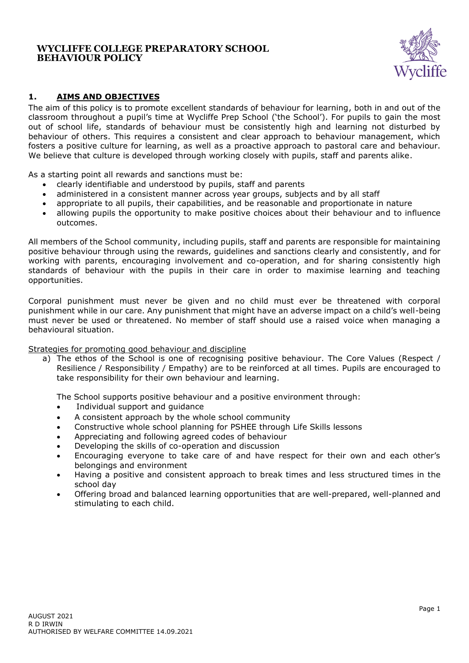

# **1. AIMS AND OBJECTIVES**

The aim of this policy is to promote excellent standards of behaviour for learning, both in and out of the classroom throughout a pupil's time at Wycliffe Prep School ('the School'). For pupils to gain the most out of school life, standards of behaviour must be consistently high and learning not disturbed by behaviour of others. This requires a consistent and clear approach to behaviour management, which fosters a positive culture for learning, as well as a proactive approach to pastoral care and behaviour. We believe that culture is developed through working closely with pupils, staff and parents alike.

As a starting point all rewards and sanctions must be:

- clearly identifiable and understood by pupils, staff and parents
- administered in a consistent manner across year groups, subjects and by all staff
- appropriate to all pupils, their capabilities, and be reasonable and proportionate in nature
- allowing pupils the opportunity to make positive choices about their behaviour and to influence outcomes.

All members of the School community, including pupils, staff and parents are responsible for maintaining positive behaviour through using the rewards, guidelines and sanctions clearly and consistently, and for working with parents, encouraging involvement and co-operation, and for sharing consistently high standards of behaviour with the pupils in their care in order to maximise learning and teaching opportunities.

Corporal punishment must never be given and no child must ever be threatened with corporal punishment while in our care. Any punishment that might have an adverse impact on a child's well-being must never be used or threatened. No member of staff should use a raised voice when managing a behavioural situation.

#### Strategies for promoting good behaviour and discipline

a) The ethos of the School is one of recognising positive behaviour. The Core Values (Respect / Resilience / Responsibility / Empathy) are to be reinforced at all times. Pupils are encouraged to take responsibility for their own behaviour and learning.

The School supports positive behaviour and a positive environment through:

- Individual support and guidance
- A consistent approach by the whole school community
- Constructive whole school planning for PSHEE through Life Skills lessons
- Appreciating and following agreed codes of behaviour
- Developing the skills of co-operation and discussion
- Encouraging everyone to take care of and have respect for their own and each other's belongings and environment
- Having a positive and consistent approach to break times and less structured times in the school day
- Offering broad and balanced learning opportunities that are well-prepared, well-planned and stimulating to each child.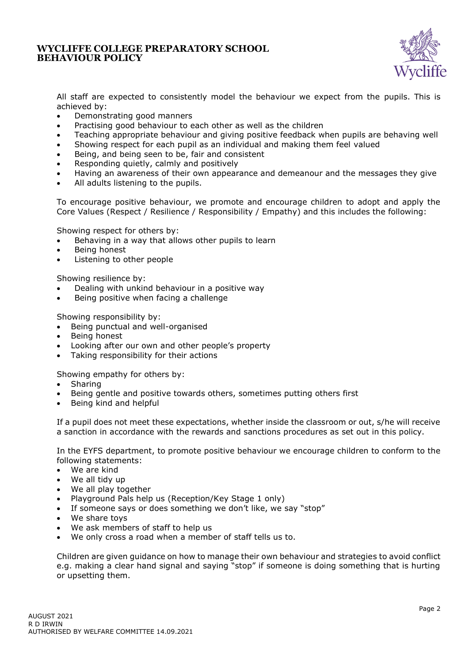

All staff are expected to consistently model the behaviour we expect from the pupils. This is achieved by:

- Demonstrating good manners
- Practising good behaviour to each other as well as the children
- Teaching appropriate behaviour and giving positive feedback when pupils are behaving well
- Showing respect for each pupil as an individual and making them feel valued
- Being, and being seen to be, fair and consistent
- Responding quietly, calmly and positively
- Having an awareness of their own appearance and demeanour and the messages they give
- All adults listening to the pupils.

To encourage positive behaviour, we promote and encourage children to adopt and apply the Core Values (Respect / Resilience / Responsibility / Empathy) and this includes the following:

Showing respect for others by:

- Behaving in a way that allows other pupils to learn
- Being honest
- Listening to other people

Showing resilience by:

- Dealing with unkind behaviour in a positive way
- Being positive when facing a challenge

Showing responsibility by:

- Being punctual and well-organised
- Being honest
- Looking after our own and other people's property
- Taking responsibility for their actions

Showing empathy for others by:

- **Sharing**
- Being gentle and positive towards others, sometimes putting others first
- Being kind and helpful

If a pupil does not meet these expectations, whether inside the classroom or out, s/he will receive a sanction in accordance with the rewards and sanctions procedures as set out in this policy.

In the EYFS department, to promote positive behaviour we encourage children to conform to the following statements:

- We are kind
- We all tidy up
- We all play together
- Playground Pals help us (Reception/Key Stage 1 only)
- If someone says or does something we don't like, we say "stop"
- We share toys
- We ask members of staff to help us
- We only cross a road when a member of staff tells us to.

Children are given guidance on how to manage their own behaviour and strategies to avoid conflict e.g. making a clear hand signal and saying "stop" if someone is doing something that is hurting or upsetting them.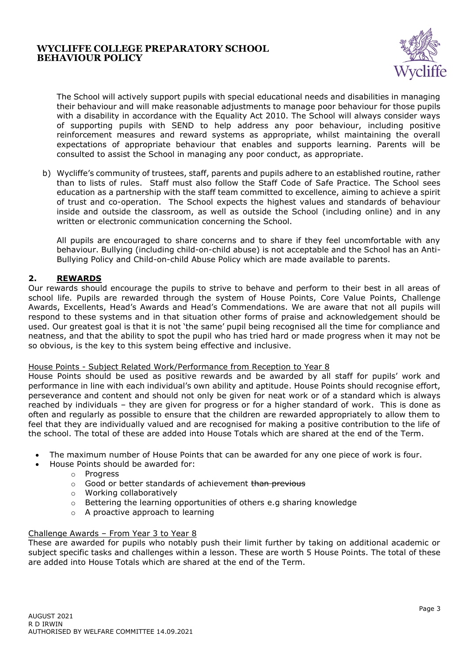

The School will actively support pupils with special educational needs and disabilities in managing their behaviour and will make reasonable adjustments to manage poor behaviour for those pupils with a disability in accordance with the Equality Act 2010. The School will always consider ways of supporting pupils with SEND to help address any poor behaviour, including positive reinforcement measures and reward systems as appropriate, whilst maintaining the overall expectations of appropriate behaviour that enables and supports learning. Parents will be consulted to assist the School in managing any poor conduct, as appropriate.

b) Wycliffe's community of trustees, staff, parents and pupils adhere to an established routine, rather than to lists of rules. Staff must also follow the Staff Code of Safe Practice. The School sees education as a partnership with the staff team committed to excellence, aiming to achieve a spirit of trust and co-operation. The School expects the highest values and standards of behaviour inside and outside the classroom, as well as outside the School (including online) and in any written or electronic communication concerning the School.

All pupils are encouraged to share concerns and to share if they feel uncomfortable with any behaviour. Bullying (including child-on-child abuse) is not acceptable and the School has an Anti-Bullying Policy and Child-on-child Abuse Policy which are made available to parents.

# **2. REWARDS**

Our rewards should encourage the pupils to strive to behave and perform to their best in all areas of school life. Pupils are rewarded through the system of House Points, Core Value Points, Challenge Awards, Excellents, Head's Awards and Head's Commendations. We are aware that not all pupils will respond to these systems and in that situation other forms of praise and acknowledgement should be used. Our greatest goal is that it is not 'the same' pupil being recognised all the time for compliance and neatness, and that the ability to spot the pupil who has tried hard or made progress when it may not be so obvious, is the key to this system being effective and inclusive.

#### House Points - Subject Related Work/Performance from Reception to Year 8

House Points should be used as positive rewards and be awarded by all staff for pupils' work and performance in line with each individual's own ability and aptitude. House Points should recognise effort, perseverance and content and should not only be given for neat work or of a standard which is always reached by individuals – they are given for progress or for a higher standard of work. This is done as often and regularly as possible to ensure that the children are rewarded appropriately to allow them to feel that they are individually valued and are recognised for making a positive contribution to the life of the school. The total of these are added into House Totals which are shared at the end of the Term.

- The maximum number of House Points that can be awarded for any one piece of work is four.
	- House Points should be awarded for:
		- o Progress
		- $\circ$  Good or better standards of achievement than previous
		- o Working collaboratively
		- o Bettering the learning opportunities of others e.g sharing knowledge
		- o A proactive approach to learning

#### Challenge Awards – From Year 3 to Year 8

These are awarded for pupils who notably push their limit further by taking on additional academic or subject specific tasks and challenges within a lesson. These are worth 5 House Points. The total of these are added into House Totals which are shared at the end of the Term.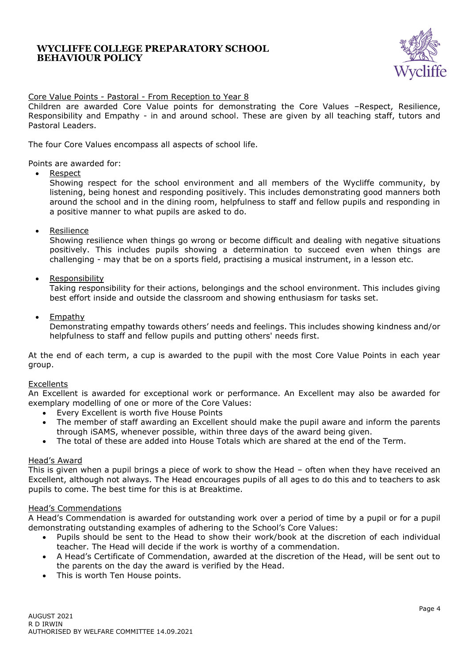

## Core Value Points - Pastoral - From Reception to Year 8

Children are awarded Core Value points for demonstrating the Core Values –Respect, Resilience, Responsibility and Empathy - in and around school. These are given by all teaching staff, tutors and Pastoral Leaders.

The four Core Values encompass all aspects of school life.

Points are awarded for:

• Respect

Showing respect for the school environment and all members of the Wycliffe community, by listening, being honest and responding positively. This includes demonstrating good manners both around the school and in the dining room, helpfulness to staff and fellow pupils and responding in a positive manner to what pupils are asked to do.

• Resilience

Showing resilience when things go wrong or become difficult and dealing with negative situations positively. This includes pupils showing a determination to succeed even when things are challenging - may that be on a sports field, practising a musical instrument, in a lesson etc.

• Responsibility

Taking responsibility for their actions, belongings and the school environment. This includes giving best effort inside and outside the classroom and showing enthusiasm for tasks set.

• Empathy

Demonstrating empathy towards others' needs and feelings. This includes showing kindness and/or helpfulness to staff and fellow pupils and putting others' needs first.

At the end of each term, a cup is awarded to the pupil with the most Core Value Points in each year group.

#### Excellents

An Excellent is awarded for exceptional work or performance. An Excellent may also be awarded for exemplary modelling of one or more of the Core Values:

- Every Excellent is worth five House Points
- The member of staff awarding an Excellent should make the pupil aware and inform the parents through iSAMS, whenever possible, within three days of the award being given.
- The total of these are added into House Totals which are shared at the end of the Term.

#### Head's Award

This is given when a pupil brings a piece of work to show the Head – often when they have received an Excellent, although not always. The Head encourages pupils of all ages to do this and to teachers to ask pupils to come. The best time for this is at Breaktime.

#### Head's Commendations

A Head's Commendation is awarded for outstanding work over a period of time by a pupil or for a pupil demonstrating outstanding examples of adhering to the School's Core Values:

- Pupils should be sent to the Head to show their work/book at the discretion of each individual teacher. The Head will decide if the work is worthy of a commendation.
- A Head's Certificate of Commendation, awarded at the discretion of the Head, will be sent out to the parents on the day the award is verified by the Head.
- This is worth Ten House points.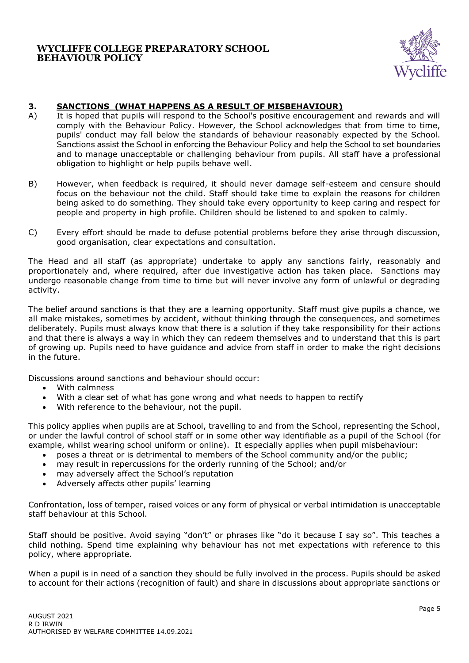

## **3. SANCTIONS (WHAT HAPPENS AS A RESULT OF MISBEHAVIOUR)**

- A) It is hoped that pupils will respond to the School's positive encouragement and rewards and will comply with the Behaviour Policy. However, the School acknowledges that from time to time, pupils' conduct may fall below the standards of behaviour reasonably expected by the School. Sanctions assist the School in enforcing the Behaviour Policy and help the School to set boundaries and to manage unacceptable or challenging behaviour from pupils. All staff have a professional obligation to highlight or help pupils behave well.
- B) However, when feedback is required, it should never damage self-esteem and censure should focus on the behaviour not the child. Staff should take time to explain the reasons for children being asked to do something. They should take every opportunity to keep caring and respect for people and property in high profile. Children should be listened to and spoken to calmly.
- C) Every effort should be made to defuse potential problems before they arise through discussion, good organisation, clear expectations and consultation.

The Head and all staff (as appropriate) undertake to apply any sanctions fairly, reasonably and proportionately and, where required, after due investigative action has taken place. Sanctions may undergo reasonable change from time to time but will never involve any form of unlawful or degrading activity.

The belief around sanctions is that they are a learning opportunity. Staff must give pupils a chance, we all make mistakes, sometimes by accident, without thinking through the consequences, and sometimes deliberately. Pupils must always know that there is a solution if they take responsibility for their actions and that there is always a way in which they can redeem themselves and to understand that this is part of growing up. Pupils need to have guidance and advice from staff in order to make the right decisions in the future.

Discussions around sanctions and behaviour should occur:

- With calmness
- With a clear set of what has gone wrong and what needs to happen to rectify
- With reference to the behaviour, not the pupil.

This policy applies when pupils are at School, travelling to and from the School, representing the School, or under the lawful control of school staff or in some other way identifiable as a pupil of the School (for example, whilst wearing school uniform or online). It especially applies when pupil misbehaviour:

- poses a threat or is detrimental to members of the School community and/or the public;
- may result in repercussions for the orderly running of the School; and/or
- may adversely affect the School's reputation
- Adversely affects other pupils' learning

Confrontation, loss of temper, raised voices or any form of physical or verbal intimidation is unacceptable staff behaviour at this School.

Staff should be positive. Avoid saying "don't" or phrases like "do it because I say so". This teaches a child nothing. Spend time explaining why behaviour has not met expectations with reference to this policy, where appropriate.

When a pupil is in need of a sanction they should be fully involved in the process. Pupils should be asked to account for their actions (recognition of fault) and share in discussions about appropriate sanctions or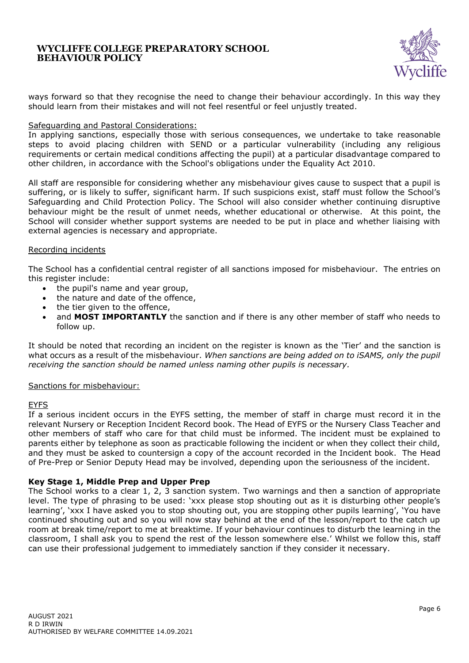

ways forward so that they recognise the need to change their behaviour accordingly. In this way they should learn from their mistakes and will not feel resentful or feel unjustly treated.

#### Safeguarding and Pastoral Considerations:

In applying sanctions, especially those with serious consequences, we undertake to take reasonable steps to avoid placing children with SEND or a particular vulnerability (including any religious requirements or certain medical conditions affecting the pupil) at a particular disadvantage compared to other children, in accordance with the School's obligations under the Equality Act 2010.

All staff are responsible for considering whether any misbehaviour gives cause to suspect that a pupil is suffering, or is likely to suffer, significant harm. If such suspicions exist, staff must follow the School's Safeguarding and Child Protection Policy. The School will also consider whether continuing disruptive behaviour might be the result of unmet needs, whether educational or otherwise. At this point, the School will consider whether support systems are needed to be put in place and whether liaising with external agencies is necessary and appropriate.

#### Recording incidents

The School has a confidential central register of all sanctions imposed for misbehaviour. The entries on this register include:

- the pupil's name and year group,
- the nature and date of the offence,
- the tier given to the offence.
- and MOST IMPORTANTLY the sanction and if there is any other member of staff who needs to follow up.

It should be noted that recording an incident on the register is known as the 'Tier' and the sanction is what occurs as a result of the misbehaviour. *When sanctions are being added on to iSAMS, only the pupil receiving the sanction should be named unless naming other pupils is necessary.*

#### Sanctions for misbehaviour:

#### EYFS

If a serious incident occurs in the EYFS setting, the member of staff in charge must record it in the relevant Nursery or Reception Incident Record book. The Head of EYFS or the Nursery Class Teacher and other members of staff who care for that child must be informed. The incident must be explained to parents either by telephone as soon as practicable following the incident or when they collect their child, and they must be asked to countersign a copy of the account recorded in the Incident book. The Head of Pre-Prep or Senior Deputy Head may be involved, depending upon the seriousness of the incident.

## **Key Stage 1, Middle Prep and Upper Prep**

The School works to a clear 1, 2, 3 sanction system. Two warnings and then a sanction of appropriate level. The type of phrasing to be used: 'xxx please stop shouting out as it is disturbing other people's learning', 'xxx I have asked you to stop shouting out, you are stopping other pupils learning', 'You have continued shouting out and so you will now stay behind at the end of the lesson/report to the catch up room at break time/report to me at breaktime. If your behaviour continues to disturb the learning in the classroom, I shall ask you to spend the rest of the lesson somewhere else.' Whilst we follow this, staff can use their professional judgement to immediately sanction if they consider it necessary.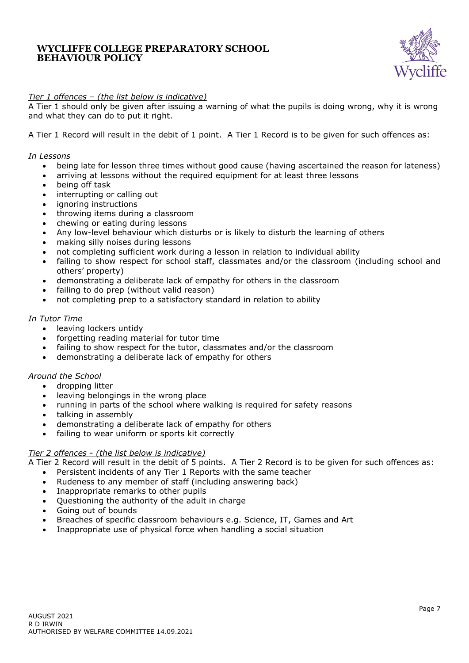

## *Tier 1 offences – (the list below is indicative)*

A Tier 1 should only be given after issuing a warning of what the pupils is doing wrong, why it is wrong and what they can do to put it right.

A Tier 1 Record will result in the debit of 1 point. A Tier 1 Record is to be given for such offences as:

#### *In Lessons*

- being late for lesson three times without good cause (having ascertained the reason for lateness)
- arriving at lessons without the required equipment for at least three lessons
- being off task
- interrupting or calling out
- ignoring instructions
- throwing items during a classroom
- chewing or eating during lessons
- Any low-level behaviour which disturbs or is likely to disturb the learning of others
- making silly noises during lessons
- not completing sufficient work during a lesson in relation to individual ability
- failing to show respect for school staff, classmates and/or the classroom (including school and others' property)
- demonstrating a deliberate lack of empathy for others in the classroom
- failing to do prep (without valid reason)
- not completing prep to a satisfactory standard in relation to ability

#### *In Tutor Time*

- leaving lockers untidy
- forgetting reading material for tutor time
- failing to show respect for the tutor, classmates and/or the classroom
- demonstrating a deliberate lack of empathy for others

#### *Around the School*

- dropping litter
- leaving belongings in the wrong place
- running in parts of the school where walking is required for safety reasons
- talking in assembly
- demonstrating a deliberate lack of empathy for others
- failing to wear uniform or sports kit correctly

#### *Tier 2 offences - (the list below is indicative)*

A Tier 2 Record will result in the debit of 5 points. A Tier 2 Record is to be given for such offences as:

- Persistent incidents of any Tier 1 Reports with the same teacher
- Rudeness to any member of staff (including answering back)
- Inappropriate remarks to other pupils
- Questioning the authority of the adult in charge
- Going out of bounds
- Breaches of specific classroom behaviours e.g. Science, IT, Games and Art
- Inappropriate use of physical force when handling a social situation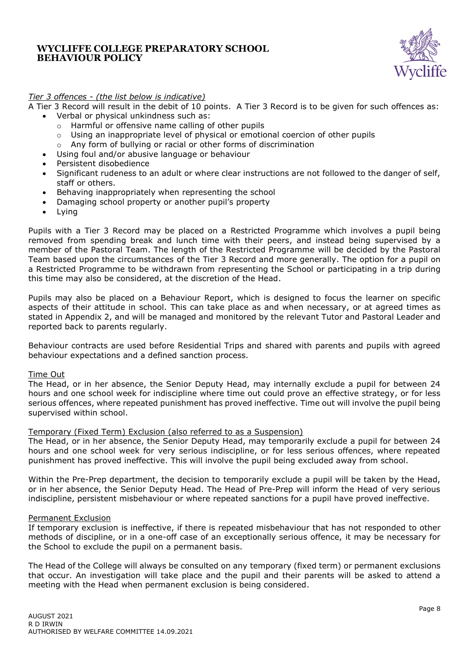

## *Tier 3 offences - (the list below is indicative)*

- A Tier 3 Record will result in the debit of 10 points. A Tier 3 Record is to be given for such offences as:
	- Verbal or physical unkindness such as:
		- o Harmful or offensive name calling of other pupils
		- $\circ$  Using an inappropriate level of physical or emotional coercion of other pupils
		- o Any form of bullying or racial or other forms of discrimination
		- Using foul and/or abusive language or behaviour
	- Persistent disobedience
	- Significant rudeness to an adult or where clear instructions are not followed to the danger of self, staff or others.
	- Behaving inappropriately when representing the school
	- Damaging school property or another pupil's property
	- Lying

Pupils with a Tier 3 Record may be placed on a Restricted Programme which involves a pupil being removed from spending break and lunch time with their peers, and instead being supervised by a member of the Pastoral Team. The length of the Restricted Programme will be decided by the Pastoral Team based upon the circumstances of the Tier 3 Record and more generally. The option for a pupil on a Restricted Programme to be withdrawn from representing the School or participating in a trip during this time may also be considered, at the discretion of the Head.

Pupils may also be placed on a Behaviour Report, which is designed to focus the learner on specific aspects of their attitude in school. This can take place as and when necessary, or at agreed times as stated in Appendix 2, and will be managed and monitored by the relevant Tutor and Pastoral Leader and reported back to parents regularly.

Behaviour contracts are used before Residential Trips and shared with parents and pupils with agreed behaviour expectations and a defined sanction process.

#### Time Out

The Head, or in her absence, the Senior Deputy Head, may internally exclude a pupil for between 24 hours and one school week for indiscipline where time out could prove an effective strategy, or for less serious offences, where repeated punishment has proved ineffective. Time out will involve the pupil being supervised within school.

#### Temporary (Fixed Term) Exclusion (also referred to as a Suspension)

The Head, or in her absence, the Senior Deputy Head, may temporarily exclude a pupil for between 24 hours and one school week for very serious indiscipline, or for less serious offences, where repeated punishment has proved ineffective. This will involve the pupil being excluded away from school.

Within the Pre-Prep department, the decision to temporarily exclude a pupil will be taken by the Head, or in her absence, the Senior Deputy Head. The Head of Pre-Prep will inform the Head of very serious indiscipline, persistent misbehaviour or where repeated sanctions for a pupil have proved ineffective.

#### Permanent Exclusion

If temporary exclusion is ineffective, if there is repeated misbehaviour that has not responded to other methods of discipline, or in a one-off case of an exceptionally serious offence, it may be necessary for the School to exclude the pupil on a permanent basis.

The Head of the College will always be consulted on any temporary (fixed term) or permanent exclusions that occur. An investigation will take place and the pupil and their parents will be asked to attend a meeting with the Head when permanent exclusion is being considered.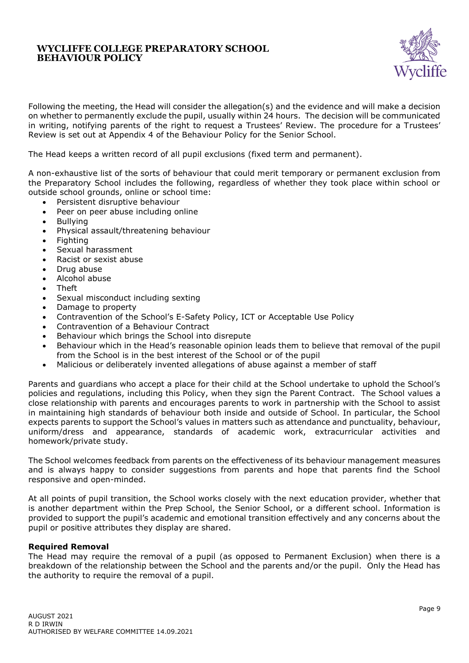

Following the meeting, the Head will consider the allegation(s) and the evidence and will make a decision on whether to permanently exclude the pupil, usually within 24 hours. The decision will be communicated in writing, notifying parents of the right to request a Trustees' Review. The procedure for a Trustees' Review is set out at Appendix 4 of the Behaviour Policy for the Senior School.

The Head keeps a written record of all pupil exclusions (fixed term and permanent).

A non-exhaustive list of the sorts of behaviour that could merit temporary or permanent exclusion from the Preparatory School includes the following, regardless of whether they took place within school or outside school grounds, online or school time:

- Persistent disruptive behaviour
- Peer on peer abuse including online
- Bullying
- Physical assault/threatening behaviour
- Fighting
- Sexual harassment
- Racist or sexist abuse
- Drug abuse
- Alcohol abuse
- Theft
- Sexual misconduct including sexting
- Damage to property
- Contravention of the School's E-Safety Policy, ICT or Acceptable Use Policy
- Contravention of a Behaviour Contract
- Behaviour which brings the School into disrepute
- Behaviour which in the Head's reasonable opinion leads them to believe that removal of the pupil from the School is in the best interest of the School or of the pupil
- Malicious or deliberately invented allegations of abuse against a member of staff

Parents and guardians who accept a place for their child at the School undertake to uphold the School's policies and regulations, including this Policy, when they sign the Parent Contract. The School values a close relationship with parents and encourages parents to work in partnership with the School to assist in maintaining high standards of behaviour both inside and outside of School. In particular, the School expects parents to support the School's values in matters such as attendance and punctuality, behaviour, uniform/dress and appearance, standards of academic work, extracurricular activities and homework/private study.

The School welcomes feedback from parents on the effectiveness of its behaviour management measures and is always happy to consider suggestions from parents and hope that parents find the School responsive and open-minded.

At all points of pupil transition, the School works closely with the next education provider, whether that is another department within the Prep School, the Senior School, or a different school. Information is provided to support the pupil's academic and emotional transition effectively and any concerns about the pupil or positive attributes they display are shared.

#### **Required Removal**

The Head may require the removal of a pupil (as opposed to Permanent Exclusion) when there is a breakdown of the relationship between the School and the parents and/or the pupil. Only the Head has the authority to require the removal of a pupil.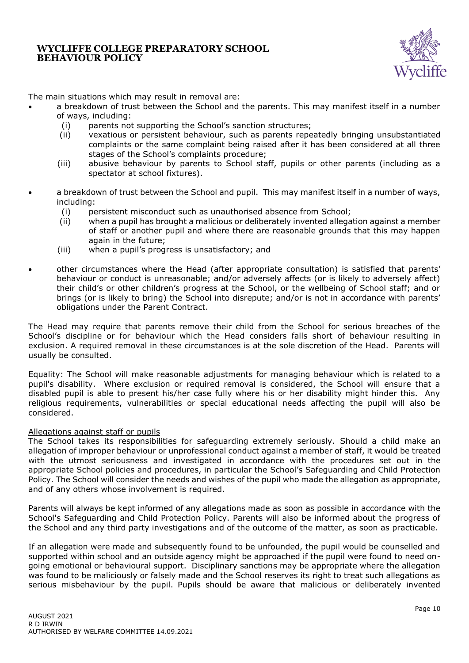

The main situations which may result in removal are:

- a breakdown of trust between the School and the parents. This may manifest itself in a number of ways, including:
	- (i) parents not supporting the School's sanction structures;
	- (ii) vexatious or persistent behaviour, such as parents repeatedly bringing unsubstantiated complaints or the same complaint being raised after it has been considered at all three stages of the School's complaints procedure;
	- (iii) abusive behaviour by parents to School staff, pupils or other parents (including as a spectator at school fixtures).
- a breakdown of trust between the School and pupil. This may manifest itself in a number of ways, including:
	- (i) persistent misconduct such as unauthorised absence from School;
	- (ii) when a pupil has brought a malicious or deliberately invented allegation against a member of staff or another pupil and where there are reasonable grounds that this may happen again in the future;
	- (iii) when a pupil's progress is unsatisfactory; and
- other circumstances where the Head (after appropriate consultation) is satisfied that parents' behaviour or conduct is unreasonable; and/or adversely affects (or is likely to adversely affect) their child's or other children's progress at the School, or the wellbeing of School staff; and or brings (or is likely to bring) the School into disrepute; and/or is not in accordance with parents' obligations under the Parent Contract.

The Head may require that parents remove their child from the School for serious breaches of the School's discipline or for behaviour which the Head considers falls short of behaviour resulting in exclusion. A required removal in these circumstances is at the sole discretion of the Head. Parents will usually be consulted.

Equality: The School will make reasonable adjustments for managing behaviour which is related to a pupil's disability. Where exclusion or required removal is considered, the School will ensure that a disabled pupil is able to present his/her case fully where his or her disability might hinder this. Any religious requirements, vulnerabilities or special educational needs affecting the pupil will also be considered.

#### Allegations against staff or pupils

The School takes its responsibilities for safeguarding extremely seriously. Should a child make an allegation of improper behaviour or unprofessional conduct against a member of staff, it would be treated with the utmost seriousness and investigated in accordance with the procedures set out in the appropriate School policies and procedures, in particular the School's Safeguarding and Child Protection Policy. The School will consider the needs and wishes of the pupil who made the allegation as appropriate, and of any others whose involvement is required.

Parents will always be kept informed of any allegations made as soon as possible in accordance with the School's Safeguarding and Child Protection Policy. Parents will also be informed about the progress of the School and any third party investigations and of the outcome of the matter, as soon as practicable.

If an allegation were made and subsequently found to be unfounded, the pupil would be counselled and supported within school and an outside agency might be approached if the pupil were found to need ongoing emotional or behavioural support. Disciplinary sanctions may be appropriate where the allegation was found to be maliciously or falsely made and the School reserves its right to treat such allegations as serious misbehaviour by the pupil. Pupils should be aware that malicious or deliberately invented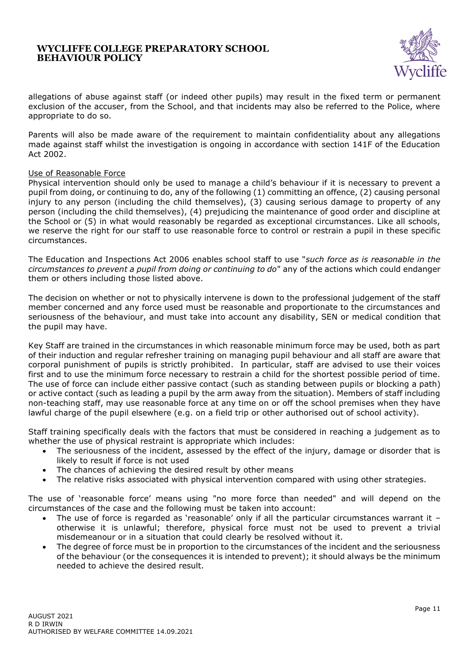

allegations of abuse against staff (or indeed other pupils) may result in the fixed term or permanent exclusion of the accuser, from the School, and that incidents may also be referred to the Police, where appropriate to do so.

Parents will also be made aware of the requirement to maintain confidentiality about any allegations made against staff whilst the investigation is ongoing in accordance with section 141F of the Education Act 2002.

#### Use of Reasonable Force

Physical intervention should only be used to manage a child's behaviour if it is necessary to prevent a pupil from doing, or continuing to do, any of the following (1) committing an offence, (2) causing personal injury to any person (including the child themselves), (3) causing serious damage to property of any person (including the child themselves), (4) prejudicing the maintenance of good order and discipline at the School or (5) in what would reasonably be regarded as exceptional circumstances. Like all schools, we reserve the right for our staff to use reasonable force to control or restrain a pupil in these specific circumstances.

The Education and Inspections Act 2006 enables school staff to use "*such force as is reasonable in the circumstances to prevent a pupil from doing or continuing to do*" any of the actions which could endanger them or others including those listed above.

The decision on whether or not to physically intervene is down to the professional judgement of the staff member concerned and any force used must be reasonable and proportionate to the circumstances and seriousness of the behaviour, and must take into account any disability, SEN or medical condition that the pupil may have.

Key Staff are trained in the circumstances in which reasonable minimum force may be used, both as part of their induction and regular refresher training on managing pupil behaviour and all staff are aware that corporal punishment of pupils is strictly prohibited. In particular, staff are advised to use their voices first and to use the minimum force necessary to restrain a child for the shortest possible period of time. The use of force can include either passive contact (such as standing between pupils or blocking a path) or active contact (such as leading a pupil by the arm away from the situation). Members of staff including non-teaching staff, may use reasonable force at any time on or off the school premises when they have lawful charge of the pupil elsewhere (e.g. on a field trip or other authorised out of school activity).

Staff training specifically deals with the factors that must be considered in reaching a judgement as to whether the use of physical restraint is appropriate which includes:

- The seriousness of the incident, assessed by the effect of the injury, damage or disorder that is likely to result if force is not used
- The chances of achieving the desired result by other means
- The relative risks associated with physical intervention compared with using other strategies.

The use of 'reasonable force' means using "no more force than needed" and will depend on the circumstances of the case and the following must be taken into account:

- The use of force is regarded as 'reasonable' only if all the particular circumstances warrant it otherwise it is unlawful; therefore, physical force must not be used to prevent a trivial misdemeanour or in a situation that could clearly be resolved without it.
- The degree of force must be in proportion to the circumstances of the incident and the seriousness of the behaviour (or the consequences it is intended to prevent); it should always be the minimum needed to achieve the desired result.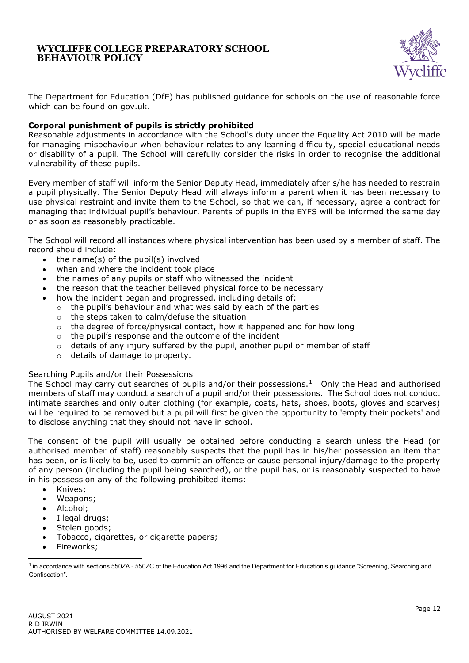

The Department for Education (DfE) has published guidance for schools on the use of reasonable force which can be found on gov.uk.

## **Corporal punishment of pupils is strictly prohibited**

Reasonable adjustments in accordance with the School's duty under the Equality Act 2010 will be made for managing misbehaviour when behaviour relates to any learning difficulty, special educational needs or disability of a pupil. The School will carefully consider the risks in order to recognise the additional vulnerability of these pupils.

Every member of staff will inform the Senior Deputy Head, immediately after s/he has needed to restrain a pupil physically. The Senior Deputy Head will always inform a parent when it has been necessary to use physical restraint and invite them to the School, so that we can, if necessary, agree a contract for managing that individual pupil's behaviour. Parents of pupils in the EYFS will be informed the same day or as soon as reasonably practicable.

The School will record all instances where physical intervention has been used by a member of staff. The record should include:

- the name(s) of the pupil(s) involved
- when and where the incident took place
- the names of any pupils or staff who witnessed the incident
- the reason that the teacher believed physical force to be necessary
- how the incident began and progressed, including details of:
	- $\circ$  the pupil's behaviour and what was said by each of the parties
	- o the steps taken to calm/defuse the situation
	- $\circ$  the degree of force/physical contact, how it happened and for how long
	- o the pupil's response and the outcome of the incident
	- $\circ$  details of any injury suffered by the pupil, another pupil or member of staff
	- o details of damage to property.

#### Searching Pupils and/or their Possessions

The School may carry out searches of pupils and/or their possessions. $1$  Only the Head and authorised members of staff may conduct a search of a pupil and/or their possessions. The School does not conduct intimate searches and only outer clothing (for example, coats, hats, shoes, boots, gloves and scarves) will be required to be removed but a pupil will first be given the opportunity to 'empty their pockets' and to disclose anything that they should not have in school.

The consent of the pupil will usually be obtained before conducting a search unless the Head (or authorised member of staff) reasonably suspects that the pupil has in his/her possession an item that has been, or is likely to be, used to commit an offence or cause personal injury/damage to the property of any person (including the pupil being searched), or the pupil has, or is reasonably suspected to have in his possession any of the following prohibited items:

- Knives;
- Weapons;
- Alcohol;
- Illegal drugs;
- Stolen goods;
- Tobacco, cigarettes, or cigarette papers;
- Fireworks;

<sup>&</sup>lt;sup>1</sup> in accordance with sections 550ZA - 550ZC of the Education Act 1996 and the Department for Education's guidance "Screening, Searching and Confiscation".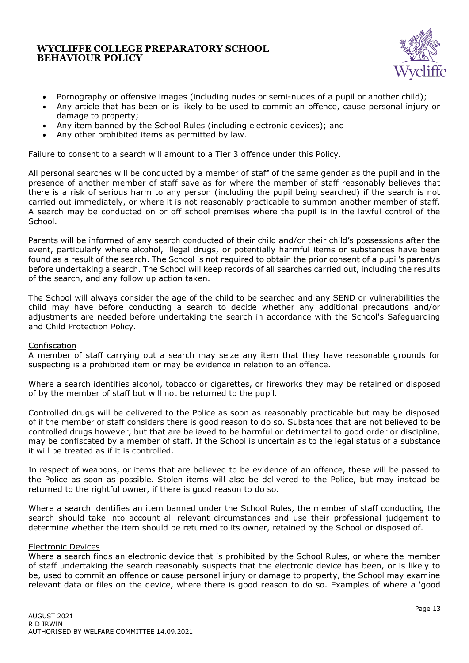

- Pornography or offensive images (including nudes or semi-nudes of a pupil or another child);
- Any article that has been or is likely to be used to commit an offence, cause personal injury or damage to property;
- Any item banned by the School Rules (including electronic devices); and
- Any other prohibited items as permitted by law.

Failure to consent to a search will amount to a Tier 3 offence under this Policy.

All personal searches will be conducted by a member of staff of the same gender as the pupil and in the presence of another member of staff save as for where the member of staff reasonably believes that there is a risk of serious harm to any person (including the pupil being searched) if the search is not carried out immediately, or where it is not reasonably practicable to summon another member of staff. A search may be conducted on or off school premises where the pupil is in the lawful control of the School.

Parents will be informed of any search conducted of their child and/or their child's possessions after the event, particularly where alcohol, illegal drugs, or potentially harmful items or substances have been found as a result of the search. The School is not required to obtain the prior consent of a pupil's parent/s before undertaking a search. The School will keep records of all searches carried out, including the results of the search, and any follow up action taken.

The School will always consider the age of the child to be searched and any SEND or vulnerabilities the child may have before conducting a search to decide whether any additional precautions and/or adjustments are needed before undertaking the search in accordance with the School's Safeguarding and Child Protection Policy.

#### Confiscation

A member of staff carrying out a search may seize any item that they have reasonable grounds for suspecting is a prohibited item or may be evidence in relation to an offence.

Where a search identifies alcohol, tobacco or cigarettes, or fireworks they may be retained or disposed of by the member of staff but will not be returned to the pupil.

Controlled drugs will be delivered to the Police as soon as reasonably practicable but may be disposed of if the member of staff considers there is good reason to do so. Substances that are not believed to be controlled drugs however, but that are believed to be harmful or detrimental to good order or discipline, may be confiscated by a member of staff. If the School is uncertain as to the legal status of a substance it will be treated as if it is controlled.

In respect of weapons, or items that are believed to be evidence of an offence, these will be passed to the Police as soon as possible. Stolen items will also be delivered to the Police, but may instead be returned to the rightful owner, if there is good reason to do so.

Where a search identifies an item banned under the School Rules, the member of staff conducting the search should take into account all relevant circumstances and use their professional judgement to determine whether the item should be returned to its owner, retained by the School or disposed of.

#### Electronic Devices

Where a search finds an electronic device that is prohibited by the School Rules, or where the member of staff undertaking the search reasonably suspects that the electronic device has been, or is likely to be, used to commit an offence or cause personal injury or damage to property, the School may examine relevant data or files on the device, where there is good reason to do so. Examples of where a 'good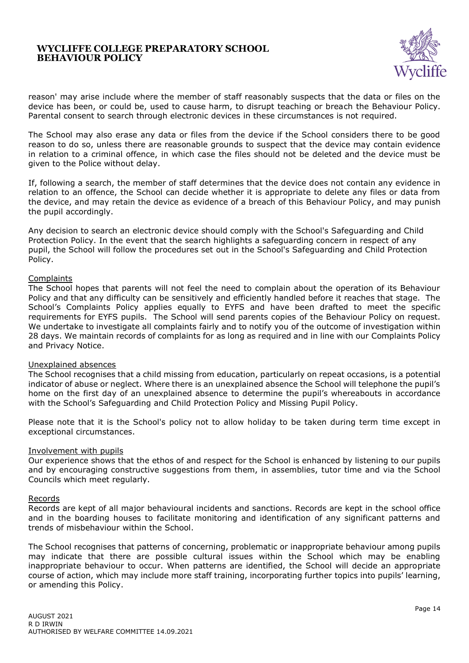

reason' may arise include where the member of staff reasonably suspects that the data or files on the device has been, or could be, used to cause harm, to disrupt teaching or breach the Behaviour Policy. Parental consent to search through electronic devices in these circumstances is not required.

The School may also erase any data or files from the device if the School considers there to be good reason to do so, unless there are reasonable grounds to suspect that the device may contain evidence in relation to a criminal offence, in which case the files should not be deleted and the device must be given to the Police without delay.

If, following a search, the member of staff determines that the device does not contain any evidence in relation to an offence, the School can decide whether it is appropriate to delete any files or data from the device, and may retain the device as evidence of a breach of this Behaviour Policy, and may punish the pupil accordingly.

Any decision to search an electronic device should comply with the School's Safeguarding and Child Protection Policy. In the event that the search highlights a safeguarding concern in respect of any pupil, the School will follow the procedures set out in the School's Safeguarding and Child Protection Policy.

#### **Complaints**

The School hopes that parents will not feel the need to complain about the operation of its Behaviour Policy and that any difficulty can be sensitively and efficiently handled before it reaches that stage. The School's Complaints Policy applies equally to EYFS and have been drafted to meet the specific requirements for EYFS pupils. The School will send parents copies of the Behaviour Policy on request. We undertake to investigate all complaints fairly and to notify you of the outcome of investigation within 28 days. We maintain records of complaints for as long as required and in line with our Complaints Policy and Privacy Notice.

#### Unexplained absences

The School recognises that a child missing from education, particularly on repeat occasions, is a potential indicator of abuse or neglect. Where there is an unexplained absence the School will telephone the pupil's home on the first day of an unexplained absence to determine the pupil's whereabouts in accordance with the School's Safeguarding and Child Protection Policy and Missing Pupil Policy.

Please note that it is the School's policy not to allow holiday to be taken during term time except in exceptional circumstances.

#### Involvement with pupils

Our experience shows that the ethos of and respect for the School is enhanced by listening to our pupils and by encouraging constructive suggestions from them, in assemblies, tutor time and via the School Councils which meet regularly.

#### Records

Records are kept of all major behavioural incidents and sanctions. Records are kept in the school office and in the boarding houses to facilitate monitoring and identification of any significant patterns and trends of misbehaviour within the School.

The School recognises that patterns of concerning, problematic or inappropriate behaviour among pupils may indicate that there are possible cultural issues within the School which may be enabling inappropriate behaviour to occur. When patterns are identified, the School will decide an appropriate course of action, which may include more staff training, incorporating further topics into pupils' learning, or amending this Policy.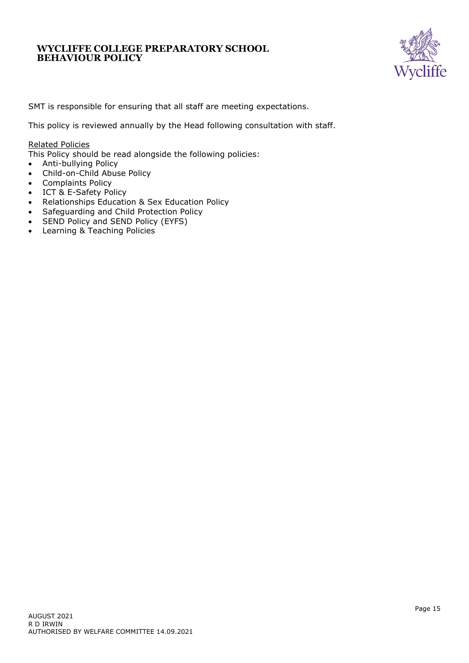

SMT is responsible for ensuring that all staff are meeting expectations.

This policy is reviewed annually by the Head following consultation with staff.

#### Related Policies

This Policy should be read alongside the following policies:

- Anti-bullying Policy
- Child-on-Child Abuse Policy
- Complaints Policy
- ICT & E-Safety Policy
- Relationships Education & Sex Education Policy
- Safeguarding and Child Protection Policy
- SEND Policy and SEND Policy (EYFS)
- Learning & Teaching Policies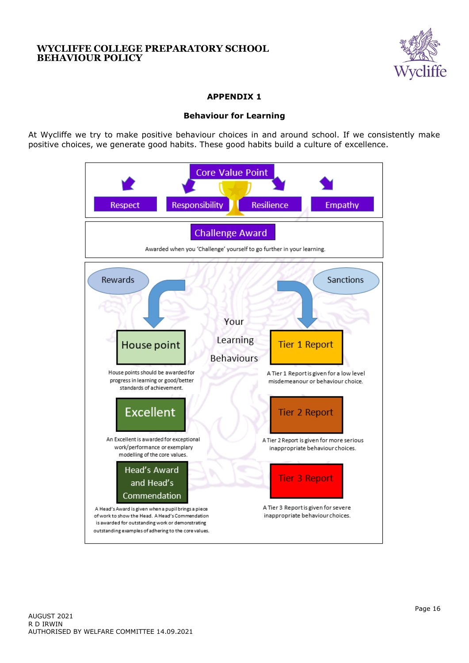

# **APPENDIX 1**

## **Behaviour for Learning**

At Wycliffe we try to make positive behaviour choices in and around school. If we consistently make positive choices, we generate good habits. These good habits build a culture of excellence.

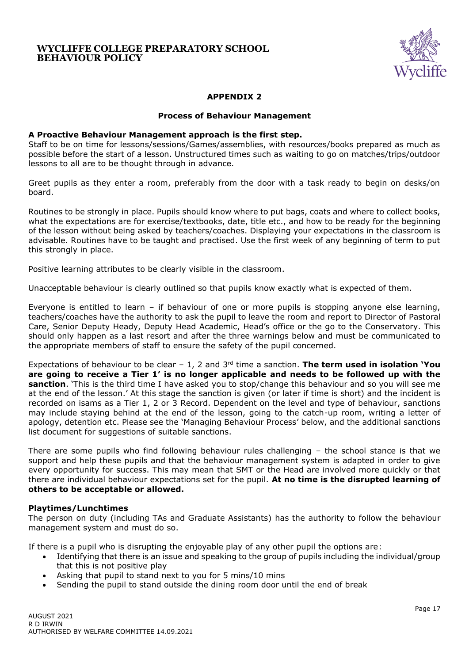

## **APPENDIX 2**

#### **Process of Behaviour Management**

#### **A Proactive Behaviour Management approach is the first step.**

Staff to be on time for lessons/sessions/Games/assemblies, with resources/books prepared as much as possible before the start of a lesson. Unstructured times such as waiting to go on matches/trips/outdoor lessons to all are to be thought through in advance.

Greet pupils as they enter a room, preferably from the door with a task ready to begin on desks/on board.

Routines to be strongly in place. Pupils should know where to put bags, coats and where to collect books, what the expectations are for exercise/textbooks, date, title etc., and how to be ready for the beginning of the lesson without being asked by teachers/coaches. Displaying your expectations in the classroom is advisable. Routines have to be taught and practised. Use the first week of any beginning of term to put this strongly in place.

Positive learning attributes to be clearly visible in the classroom.

Unacceptable behaviour is clearly outlined so that pupils know exactly what is expected of them.

Everyone is entitled to learn – if behaviour of one or more pupils is stopping anyone else learning, teachers/coaches have the authority to ask the pupil to leave the room and report to Director of Pastoral Care, Senior Deputy Heady, Deputy Head Academic, Head's office or the go to the Conservatory. This should only happen as a last resort and after the three warnings below and must be communicated to the appropriate members of staff to ensure the safety of the pupil concerned.

Expectations of behaviour to be clear – 1, 2 and 3rd time a sanction. **The term used in isolation 'You are going to receive a Tier 1' is no longer applicable and needs to be followed up with the sanction**. 'This is the third time I have asked you to stop/change this behaviour and so you will see me at the end of the lesson.' At this stage the sanction is given (or later if time is short) and the incident is recorded on isams as a Tier 1, 2 or 3 Record. Dependent on the level and type of behaviour, sanctions may include staying behind at the end of the lesson, going to the catch-up room, writing a letter of apology, detention etc. Please see the 'Managing Behaviour Process' below, and the additional sanctions list document for suggestions of suitable sanctions.

There are some pupils who find following behaviour rules challenging – the school stance is that we support and help these pupils and that the behaviour management system is adapted in order to give every opportunity for success. This may mean that SMT or the Head are involved more quickly or that there are individual behaviour expectations set for the pupil. **At no time is the disrupted learning of others to be acceptable or allowed.** 

#### **Playtimes/Lunchtimes**

The person on duty (including TAs and Graduate Assistants) has the authority to follow the behaviour management system and must do so.

If there is a pupil who is disrupting the enjoyable play of any other pupil the options are:

- Identifying that there is an issue and speaking to the group of pupils including the individual/group that this is not positive play
- Asking that pupil to stand next to you for 5 mins/10 mins
- Sending the pupil to stand outside the dining room door until the end of break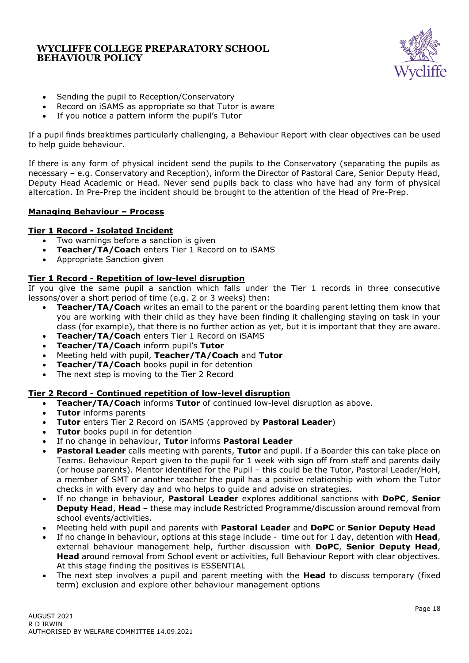

- Sending the pupil to Reception/Conservatory
- Record on iSAMS as appropriate so that Tutor is aware
- If you notice a pattern inform the pupil's Tutor

If a pupil finds breaktimes particularly challenging, a Behaviour Report with clear objectives can be used to help guide behaviour.

If there is any form of physical incident send the pupils to the Conservatory (separating the pupils as necessary – e.g. Conservatory and Reception), inform the Director of Pastoral Care, Senior Deputy Head, Deputy Head Academic or Head. Never send pupils back to class who have had any form of physical altercation. In Pre-Prep the incident should be brought to the attention of the Head of Pre-Prep.

## **Managing Behaviour – Process**

## **Tier 1 Record - Isolated Incident**

- Two warnings before a sanction is given
- **Teacher/TA/Coach** enters Tier 1 Record on to iSAMS
- Appropriate Sanction given

## **Tier 1 Record - Repetition of low-level disruption**

If you give the same pupil a sanction which falls under the Tier 1 records in three consecutive lessons/over a short period of time (e.g. 2 or 3 weeks) then:

- **Teacher/TA/Coach** writes an email to the parent or the boarding parent letting them know that you are working with their child as they have been finding it challenging staying on task in your class (for example), that there is no further action as yet, but it is important that they are aware.
- **Teacher/TA/Coach** enters Tier 1 Record on iSAMS
- **Teacher/TA/Coach** inform pupil's **Tutor**
- Meeting held with pupil, **Teacher/TA/Coach** and **Tutor**
- **Teacher/TA/Coach** books pupil in for detention
- The next step is moving to the Tier 2 Record

## **Tier 2 Record - Continued repetition of low-level disruption**

- **Teacher/TA/Coach** informs **Tutor** of continued low-level disruption as above.
- **Tutor** informs parents
- **Tutor** enters Tier 2 Record on iSAMS (approved by **Pastoral Leader**)
- **Tutor** books pupil in for detention
- If no change in behaviour, **Tutor** informs **Pastoral Leader**
- **Pastoral Leader** calls meeting with parents, **Tutor** and pupil. If a Boarder this can take place on Teams. Behaviour Report given to the pupil for 1 week with sign off from staff and parents daily (or house parents). Mentor identified for the Pupil – this could be the Tutor, Pastoral Leader/HoH, a member of SMT or another teacher the pupil has a positive relationship with whom the Tutor checks in with every day and who helps to guide and advise on strategies.
- If no change in behaviour, **Pastoral Leader** explores additional sanctions with **DoPC**, **Senior Deputy Head**, **Head** – these may include Restricted Programme/discussion around removal from school events/activities.
- Meeting held with pupil and parents with **Pastoral Leader** and **DoPC** or **Senior Deputy Head**
- If no change in behaviour, options at this stage include time out for 1 day, detention with **Head**, external behaviour management help, further discussion with **DoPC**, **Senior Deputy Head**, **Head** around removal from School event or activities, full Behaviour Report with clear objectives. At this stage finding the positives is ESSENTIAL
- The next step involves a pupil and parent meeting with the **Head** to discuss temporary (fixed term) exclusion and explore other behaviour management options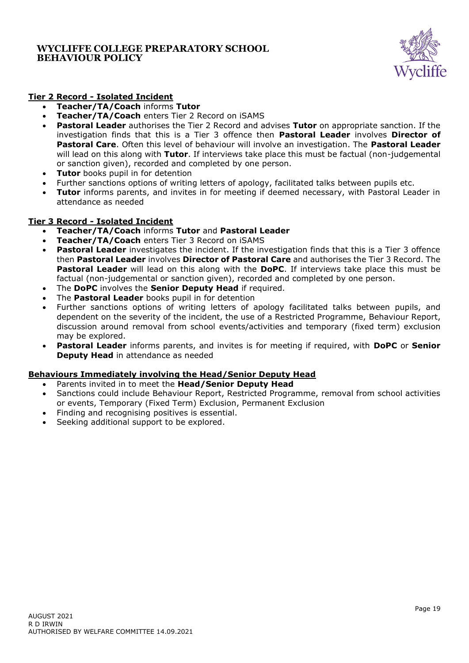

# **Tier 2 Record - Isolated Incident**

- **Teacher/TA/Coach** informs **Tutor**
- **Teacher/TA/Coach** enters Tier 2 Record on iSAMS
- **Pastoral Leader** authorises the Tier 2 Record and advises **Tutor** on appropriate sanction. If the investigation finds that this is a Tier 3 offence then **Pastoral Leader** involves **Director of Pastoral Care**. Often this level of behaviour will involve an investigation. The **Pastoral Leader** will lead on this along with **Tutor**. If interviews take place this must be factual (non-judgemental or sanction given), recorded and completed by one person.
- **Tutor** books pupil in for detention
- Further sanctions options of writing letters of apology, facilitated talks between pupils etc.
- **Tutor** informs parents, and invites in for meeting if deemed necessary, with Pastoral Leader in attendance as needed

## **Tier 3 Record - Isolated Incident**

- **Teacher/TA/Coach** informs **Tutor** and **Pastoral Leader**
- **Teacher/TA/Coach** enters Tier 3 Record on iSAMS
- **Pastoral Leader** investigates the incident. If the investigation finds that this is a Tier 3 offence then **Pastoral Leader** involves **Director of Pastoral Care** and authorises the Tier 3 Record. The **Pastoral Leader** will lead on this along with the **DoPC**. If interviews take place this must be factual (non-judgemental or sanction given), recorded and completed by one person.
- The **DoPC** involves the **Senior Deputy Head** if required.
- The **Pastoral Leader** books pupil in for detention
- Further sanctions options of writing letters of apology facilitated talks between pupils, and dependent on the severity of the incident, the use of a Restricted Programme, Behaviour Report, discussion around removal from school events/activities and temporary (fixed term) exclusion may be explored.
- **Pastoral Leader** informs parents, and invites is for meeting if required, with **DoPC** or **Senior Deputy Head** in attendance as needed

## **Behaviours Immediately involving the Head/Senior Deputy Head**

- Parents invited in to meet the **Head/Senior Deputy Head**
- Sanctions could include Behaviour Report, Restricted Programme, removal from school activities or events, Temporary (Fixed Term) Exclusion, Permanent Exclusion
- Finding and recognising positives is essential.
- Seeking additional support to be explored.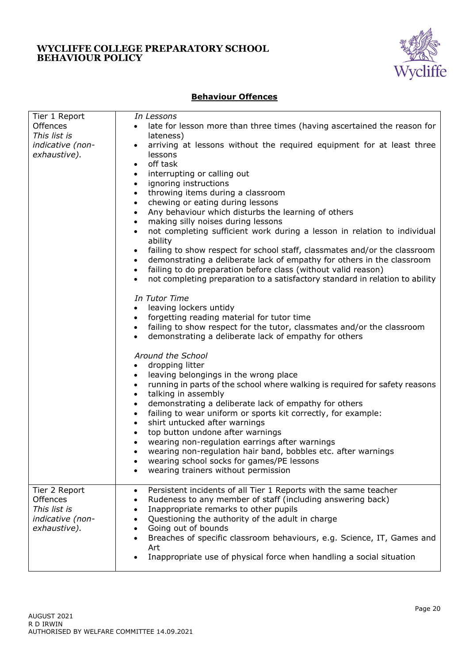

## **Behaviour Offences**

| Tier 1 Report                    | In Lessons                                                                                       |
|----------------------------------|--------------------------------------------------------------------------------------------------|
| Offences                         | late for lesson more than three times (having ascertained the reason for                         |
| This list is                     | lateness)                                                                                        |
| indicative (non-                 | arriving at lessons without the required equipment for at least three<br>$\bullet$               |
| exhaustive).                     | lessons                                                                                          |
|                                  | off task<br>$\bullet$                                                                            |
|                                  | interrupting or calling out<br>$\bullet$                                                         |
|                                  | ignoring instructions<br>$\bullet$                                                               |
|                                  | throwing items during a classroom<br>$\bullet$                                                   |
|                                  | chewing or eating during lessons<br>$\bullet$                                                    |
|                                  | Any behaviour which disturbs the learning of others<br>$\bullet$                                 |
|                                  | making silly noises during lessons<br>$\bullet$                                                  |
|                                  | not completing sufficient work during a lesson in relation to individual<br>$\bullet$<br>ability |
|                                  | failing to show respect for school staff, classmates and/or the classroom<br>$\bullet$           |
|                                  | demonstrating a deliberate lack of empathy for others in the classroom<br>$\bullet$              |
|                                  | failing to do preparation before class (without valid reason)<br>$\bullet$                       |
|                                  | not completing preparation to a satisfactory standard in relation to ability<br>$\bullet$        |
|                                  |                                                                                                  |
|                                  | In Tutor Time                                                                                    |
|                                  | leaving lockers untidy<br>$\bullet$                                                              |
|                                  | forgetting reading material for tutor time<br>$\bullet$                                          |
|                                  | failing to show respect for the tutor, classmates and/or the classroom<br>$\bullet$              |
|                                  | demonstrating a deliberate lack of empathy for others<br>$\bullet$                               |
|                                  | Around the School                                                                                |
|                                  | dropping litter<br>$\bullet$                                                                     |
|                                  | leaving belongings in the wrong place<br>$\bullet$                                               |
|                                  | running in parts of the school where walking is required for safety reasons<br>$\bullet$         |
|                                  | talking in assembly<br>$\bullet$                                                                 |
|                                  | demonstrating a deliberate lack of empathy for others<br>$\bullet$                               |
|                                  | failing to wear uniform or sports kit correctly, for example:<br>$\bullet$                       |
|                                  | shirt untucked after warnings<br>$\bullet$                                                       |
|                                  | top button undone after warnings<br>$\bullet$                                                    |
|                                  | wearing non-regulation earrings after warnings<br>$\bullet$                                      |
|                                  | wearing non-regulation hair band, bobbles etc. after warnings                                    |
|                                  | wearing school socks for games/PE lessons                                                        |
|                                  | wearing trainers without permission                                                              |
|                                  |                                                                                                  |
| Tier 2 Report                    | Persistent incidents of all Tier 1 Reports with the same teacher<br>$\bullet$                    |
| Offences                         | Rudeness to any member of staff (including answering back)<br>٠                                  |
| This list is                     | Inappropriate remarks to other pupils<br>٠                                                       |
| indicative (non-<br>exhaustive). | Questioning the authority of the adult in charge<br>Going out of bounds                          |
|                                  | Breaches of specific classroom behaviours, e.g. Science, IT, Games and                           |
|                                  | Art                                                                                              |
|                                  | Inappropriate use of physical force when handling a social situation<br>$\bullet$                |
|                                  |                                                                                                  |